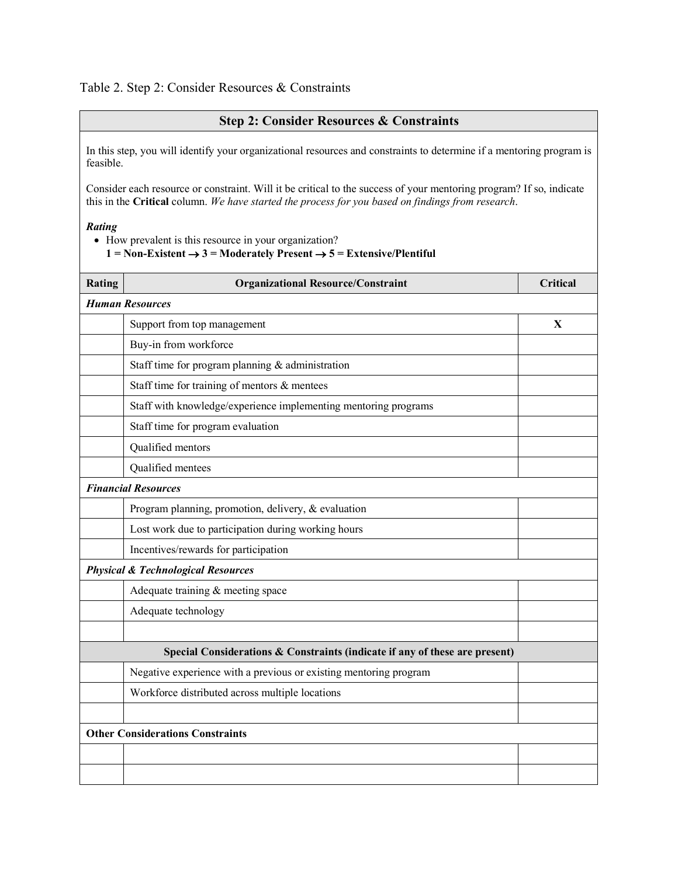# Table 2. Step 2: Consider Resources & Constraints

## **Step 2: Consider Resources & Constraints**

In this step, you will identify your organizational resources and constraints to determine if a mentoring program is feasible.

Consider each resource or constraint. Will it be critical to the success of your mentoring program? If so, indicate this in the **Critical** column. *We have started the process for you based on findings from research*.

### *Rating*

- How prevalent is this resource in your organization?
	- 1 = Non-Existent  $\rightarrow$  3 = Moderately Present  $\rightarrow$  5 = Extensive/Plentiful

| Rating                                                                      | <b>Organizational Resource/Constraint</b>                         | <b>Critical</b> |
|-----------------------------------------------------------------------------|-------------------------------------------------------------------|-----------------|
| <b>Human Resources</b>                                                      |                                                                   |                 |
|                                                                             | Support from top management                                       | $\mathbf{X}$    |
|                                                                             | Buy-in from workforce                                             |                 |
|                                                                             | Staff time for program planning & administration                  |                 |
|                                                                             | Staff time for training of mentors & mentees                      |                 |
|                                                                             | Staff with knowledge/experience implementing mentoring programs   |                 |
|                                                                             | Staff time for program evaluation                                 |                 |
|                                                                             | Qualified mentors                                                 |                 |
|                                                                             | Qualified mentees                                                 |                 |
| <b>Financial Resources</b>                                                  |                                                                   |                 |
|                                                                             | Program planning, promotion, delivery, & evaluation               |                 |
|                                                                             | Lost work due to participation during working hours               |                 |
|                                                                             | Incentives/rewards for participation                              |                 |
| <b>Physical &amp; Technological Resources</b>                               |                                                                   |                 |
|                                                                             | Adequate training $&$ meeting space                               |                 |
|                                                                             | Adequate technology                                               |                 |
|                                                                             |                                                                   |                 |
| Special Considerations & Constraints (indicate if any of these are present) |                                                                   |                 |
|                                                                             | Negative experience with a previous or existing mentoring program |                 |
|                                                                             | Workforce distributed across multiple locations                   |                 |
|                                                                             |                                                                   |                 |
| <b>Other Considerations Constraints</b>                                     |                                                                   |                 |
|                                                                             |                                                                   |                 |
|                                                                             |                                                                   |                 |